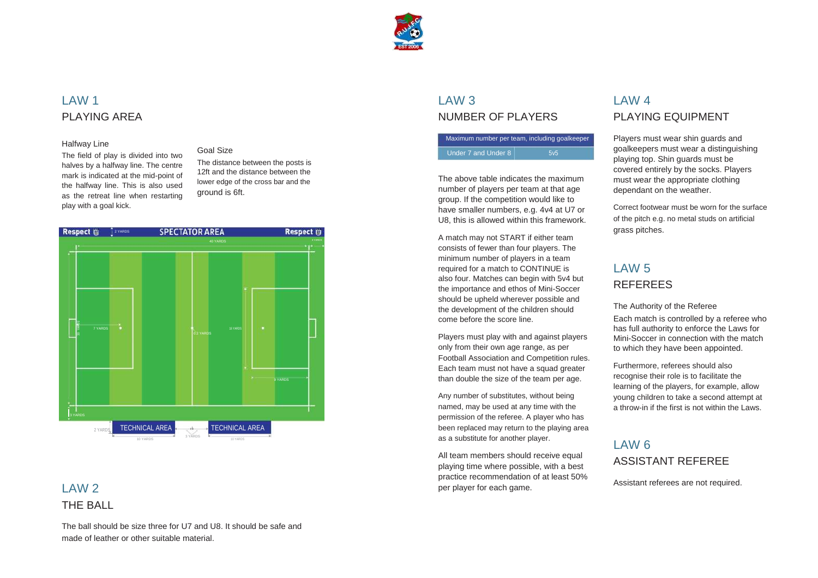

### LAW 1 PLAYING AREA

#### Halfway Line

The field of play is divided into two halves by a halfway line. The centre mark is indicated at the mid-point of the halfway line. This is also used as the retreat line when restarting play with a goal kick.

#### Goal Size

The distance between the posts is 12ft and the distance between the lower edge of the cross bar and the ground is 6ft.

#### LAW 3 NUMBER OF PLAYERS

| Maximum number per team, including goalkeeper |                  |
|-----------------------------------------------|------------------|
| Under 7 and Under 8                           | .5v <sub>5</sub> |

The above table indicates the maximum number of players per team at that age group. If the competition would like to have smaller numbers, e.g. 4v4 at U7 or U8, this is allowed within this framework.

## $IAW2$ THE BALL

# LAW 4 PLAYING EQUIPMENT

Players must wear shin guards and goalkeepers must wear a distinguishing playing top. Shin guards must be covered entirely by the socks. Players must wear the appropriate clothing dependant on the weather.



All team members should receive equal playing time where possible, with a best practice recommendation of at least 50% per player for each game.

The ball should be size three for U7 and U8. It should be safe and made of leather or other suitable material.

A match may not START if either team consists of fewer than four players. The minimum number of players in a team required for a match to CONTINUE is also four. Matches can begin with 5v4 but the importance and ethos of Mini-Soccer should be upheld wherever possible and the development of the children should come before the score line.

Correct footwear must be worn for the surface of the pitch e.g. no metal studs on artificial grass pitches.

Players must play with and against players only from their own age range, as per Football Association and Competition rules. Each team must not have a squad greater than double the size of the team per age.

Any number of substitutes, without being named, may be used at any time with the permission of the referee. A player who has been replaced may return to the playing area as a substitute for another player.

# LAW 5 REFEREES

The Authority of the Referee

Each match is controlled by a referee who has full authority to enforce the Laws for Mini-Soccer in connection with the match to which they have been appointed.

Furthermore, referees should also recognise their role is to facilitate the learning of the players, for example, allow young children to take a second attempt at a throw-in if the first is not within the Laws.

# LAW 6 ASSISTANT REFEREE

Assistant referees are not required.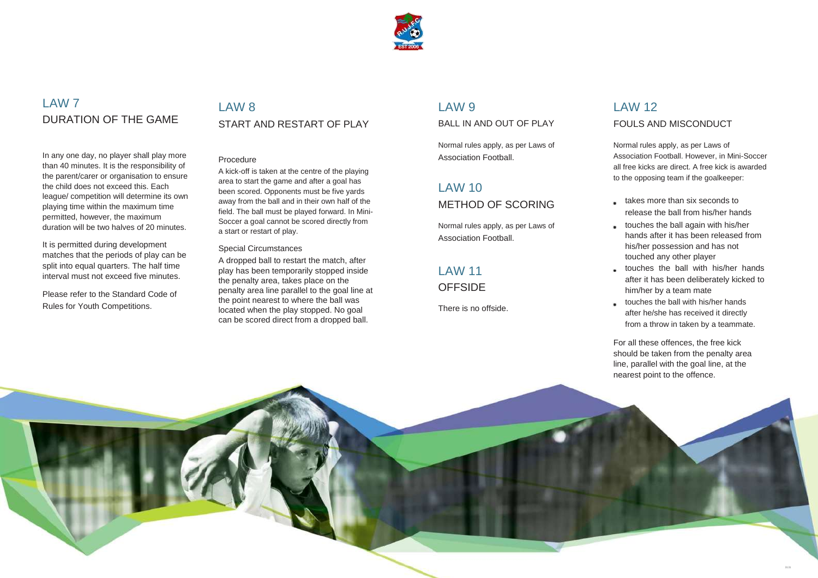

# LAW 7 DURATION OF THE GAME

In any one day, no player shall play more than 40 minutes. It is the responsibility of the parent/carer or organisation to ensure the child does not exceed this. Each league/ competition will determine its own playing time within the maximum time permitted, however, the maximum duration will be two halves of 20 minutes.

It is permitted during development matches that the periods of play can be split into equal quarters. The half time interval must not exceed five minutes.

Please refer to the Standard Code of Rules for Youth Competitions.

### LAW 8 START AND RESTART OF PLAY

#### Procedure

A kick-off is taken at the centre of the playing area to start the game and after a goal has been scored. Opponents must be five yards away from the ball and in their own half of the field. The ball must be played forward. In Mini-Soccer a goal cannot be scored directly from a start or restart of play.

#### Special Circumstances

takes more than six seconds to release the ball from his/her hands touches the ball again with his/her hands after it has been released from his/her possession and has not touched any other player touches the ball with his/her hands after it has been deliberately kicked to him/her by a team mate touches the ball with his/her hands after he/she has received it directly from a throw in taken by a teammate.

A dropped ball to restart the match, after play has been temporarily stopped inside the penalty area, takes place on the penalty area line parallel to the goal line at the point nearest to where the ball was located when the play stopped. No goal can be scored direct from a dropped ball.

#### LAW<sub>9</sub>

BALL IN AND OUT OF PLAY

Normal rules apply, as per Laws of Association Football.

# LAW 10

METHOD OF SCORING

Normal rules apply, as per Laws of Association Football.

# LAW 11

#### **OFFSIDE**

There is no offside.

# LAW 12 FOULS AND MISCONDUCT

Normal rules apply, as per Laws of Association Football. However, in Mini-Soccer all free kicks are direct. A free kick is awarded to the opposing team if the goalkeeper:

For all these offences, the free kick should be taken from the penalty area

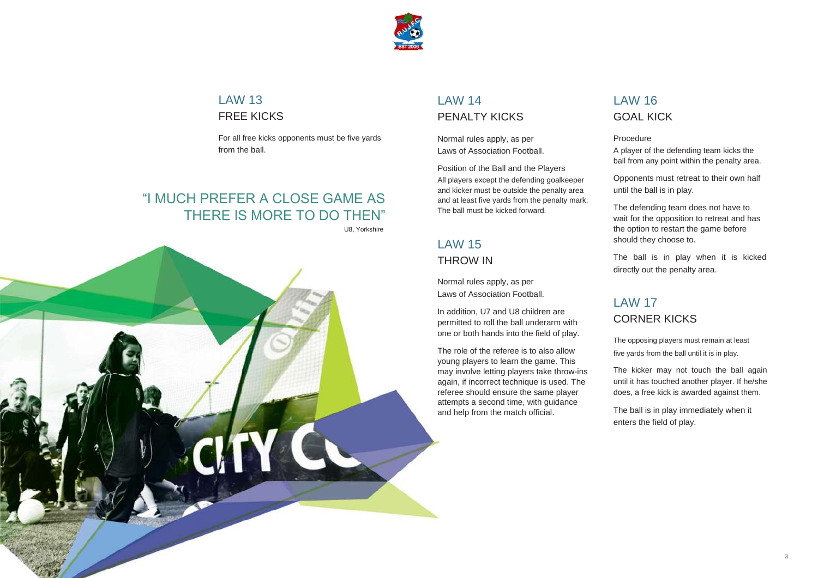

# LAW 13 FREE KICKS

For all free kicks opponents must be five yards from the ball.

# "I MUCH PREFER A CLOSE GAME AS THERE IS MORE TO DO THEN"

U8, Yorkshire



### LAW 14 PENALTY KICKS

Normal rules apply, as per Laws of Association Football.

Position of the Ball and the Players All players except the defending goalkeeper and kicker must be outside the penalty area and at least five yards from the penalty mark. The ball must be kicked forward.

# LAW 15 THROW IN

Normal rules apply, as per Laws of Association Football.

In addition, U7 and U8 children are permitted to roll the ball underarm with one or both hands into the field of play.

The role of the referee is to also allow young players to learn the game. This may involve letting players take throw-ins again, if incorrect technique is used. The referee should ensure the same player attempts a second time, with guidance and help from the match official.

# LAW 16 GOAL KICK

#### Procedure

A player of the defending team kicks the ball from any point within the penalty area.

Opponents must retreat to their own half until the ball is in play.

The defending team does not have to wait for the opposition to retreat and has the option to restart the game before should they choose to.

The ball is in play when it is kicked directly out the penalty area.

### LAW 17 CORNER KICKS

The opposing players must remain at least five yards from the ball until it is in play.

The kicker may not touch the ball again until it has touched another player. If he/she does, a free kick is awarded against them.

The ball is in play immediately when it enters the field of play.